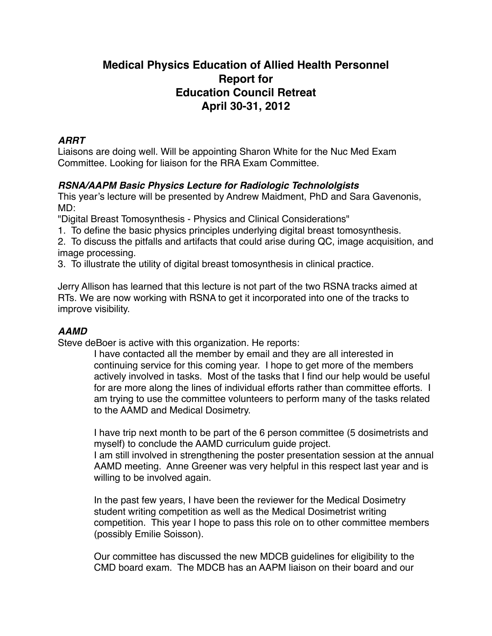# **Medical Physics Education of Allied Health Personnel Report for Education Council Retreat April 30-31, 2012**

#### *ARRT*

Liaisons are doing well. Will be appointing Sharon White for the Nuc Med Exam Committee. Looking for liaison for the RRA Exam Committee.

## *RSNA/AAPM Basic Physics Lecture for Radiologic Technololgists*

This year's lecture will be presented by Andrew Maidment, PhD and Sara Gavenonis, MD:

"Digital Breast Tomosynthesis - Physics and Clinical Considerations"

1. To define the basic physics principles underlying digital breast tomosynthesis.

2. To discuss the pitfalls and artifacts that could arise during QC, image acquisition, and image processing.

3. To illustrate the utility of digital breast tomosynthesis in clinical practice.

Jerry Allison has learned that this lecture is not part of the two RSNA tracks aimed at RTs. We are now working with RSNA to get it incorporated into one of the tracks to improve visibility.

## *AAMD*

Steve deBoer is active with this organization. He reports:

I have contacted all the member by email and they are all interested in continuing service for this coming year. I hope to get more of the members actively involved in tasks. Most of the tasks that I find our help would be useful for are more along the lines of individual efforts rather than committee efforts. I am trying to use the committee volunteers to perform many of the tasks related to the AAMD and Medical Dosimetry.

I have trip next month to be part of the 6 person committee (5 dosimetrists and myself) to conclude the AAMD curriculum guide project.

I am still involved in strengthening the poster presentation session at the annual AAMD meeting. Anne Greener was very helpful in this respect last year and is willing to be involved again.

In the past few years, I have been the reviewer for the Medical Dosimetry student writing competition as well as the Medical Dosimetrist writing competition. This year I hope to pass this role on to other committee members (possibly Emilie Soisson).

Our committee has discussed the new MDCB guidelines for eligibility to the CMD board exam. The MDCB has an AAPM liaison on their board and our